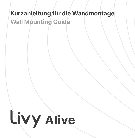### **Kurzanleitung für die Wandmontage Wall Mounting Guide**

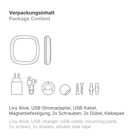### **Verpackungsinhalt**

**Package Content**





Livy Alive, USB-Stromadapter, USB-Kabel, Magnetbefestigung, 2x Schrauben, 2x Dübel, Klebepad

Livy Alive, USB-charger, USB-cable, mounting plate, 2x screws, 2x dowels, double side tape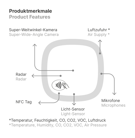#### **Produktmerkmale Product Features**



\*Temperature, Humidity, CO, CO2, VOC, Air Pressure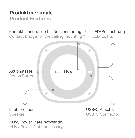## **Produktmerkmale**

### **Product Features**



### \*Livy Power Plate notwendig

\*Livy Power Plate necessary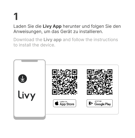# **1**

Laden Sie die **Livy App** herunter und folgen Sie den Anweisungen, um das Gerät zu installieren.

Download the **Livy app** and follow the instructions to install the device.

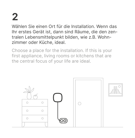## **2**

Wählen Sie einen Ort für die Installation. Wenn das Ihr erstes Gerät ist, dann sind Räume, die den zentralen Lebensmittelpunkt bilden, wie z.B. Wohnzimmer oder Küche, ideal.

Choose a place for the installation. If this is your first appliance, living rooms or kitchens that are the central focus of your life are ideal.

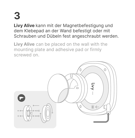## **3**

**Livy Alive** kann mit der Magnetbefestigung und dem Klebepad an der Wand befestigt oder mit Schrauben und Dübeln fest angeschraubt werden.

**Livy Alive** can be placed on the wall with the mounting plate and adhesive pad or firmly screwed on.

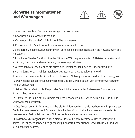#### **Sicherheitsinformationen und Warnungen**



1. Lesen und beachten Sie die Anweisungen und Warnungen.

- 2. Bewahren Sie die Anweisungen auf.
- 3. Verwenden Sie das Gerät nicht in der Nähe von Wasser.

4. Reinigen Sie das Gerät nur mit einem trockenen, weichen Tuch.

5. Blockieren Sie keine Lüftungsöffnungen. Befolgen Sie bei der Installation die Anweisungen des **Herstellers** 

6. Installieren Sie das Gerät nicht in der Nähe von Wärmequellen, wie z.B. Heizkörpern, Warmluftauslässen, Öfen oder anderen Geräten, die Wärme produzieren.

7. Verwenden Sie ausschließlich die durch den Hersteller spezifizierten Zubehörprodukte.

8. Verhindern Sie, dass auf das Netzkabel getreten oder dass es geklemmt wird.

9. Trennen Sie das Gerät bei Gewitter oder längeren Nutzungspausen von der Stromversorgung.

10. Der Netzstecker sollte gut zugänglich sein, um das Gerät jederzeit von der Stromversorgung trennen zu können.

11. Setzen Sie das Gerät nicht Regen oder Feuchtigkeit aus, um das Risiko eines Brandes oder Stromschlags zu reduzieren.

12. Platzieren Sie keine mit Flüssigkeit gefüllten Behälter, wie z.B. Vasen beim Gerät, um es vor Spritzwasser zu schützen.

13. Das Produkt enthält Magnete, welche die Funktion von Herzschrittmachern und implantierten Defibrillatoren beeinflussen können. Achten Sie darauf, dass keine Personen mit Herzschrittmachern oder Defibrillatoren dem Einfluss der Magnete ausgesetzt werden.

14. Lassen Sie die magnetischen Teile niemals lose auf einem nichtmetallischen Untergrund liegen. Die Magnete können sich gegenseitig unkontrolliert anziehen, wodurch Bruch- und Verletzungsgefahr besteht.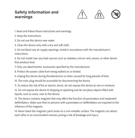#### **Safety information and warnings**



1. Read and follow these instructions and warnings.

- 2. Keep the instructions.
- 3. Do not use this device near water.
- 4. Clean the device only with a dry and soft cloth.

5. Do not block any air supply openings. Install in accordance with the manufacturer's instructions.

6. Do not install near any heat sources such as radiators, hot air vent, stoves, or other device that produce heat.

7. Only use attachments/ accessories specified by the manufacturer.

8. Protect the power cable from being walked on or kinked.

9. Unplug this device during thunderstorms or when unused for long periods of time.

10. The main plug should be accessible for disconnecting the device.

11. To reduce the risk of fire or electric shock, do not expose this device to rain or moisture.

12. Do not expose the device to dripping or splashing and do not place objects filled with liquids, such as vases, near to the device.

13. The device contains magnets that may affect the function of pacemakers and implanted defibrillators. Make sure that no persons with pacemakers or defibrillators are exposed to the influence of the magnets.

14. Never leave the magnetic parts loose on a non-metallic surface. The magnets can attract each other in an uncontrolled manner, posing a risk of breakage and injury.